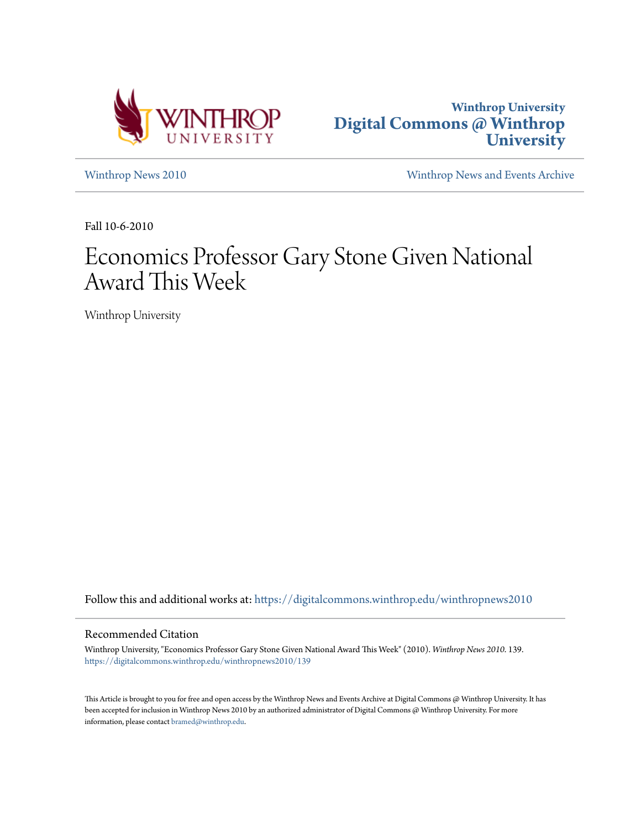



[Winthrop News 2010](https://digitalcommons.winthrop.edu/winthropnews2010?utm_source=digitalcommons.winthrop.edu%2Fwinthropnews2010%2F139&utm_medium=PDF&utm_campaign=PDFCoverPages) [Winthrop News and Events Archive](https://digitalcommons.winthrop.edu/winthropnewsarchives?utm_source=digitalcommons.winthrop.edu%2Fwinthropnews2010%2F139&utm_medium=PDF&utm_campaign=PDFCoverPages)

Fall 10-6-2010

## Economics Professor Gary Stone Given National Award This Week

Winthrop University

Follow this and additional works at: [https://digitalcommons.winthrop.edu/winthropnews2010](https://digitalcommons.winthrop.edu/winthropnews2010?utm_source=digitalcommons.winthrop.edu%2Fwinthropnews2010%2F139&utm_medium=PDF&utm_campaign=PDFCoverPages)

#### Recommended Citation

Winthrop University, "Economics Professor Gary Stone Given National Award This Week" (2010). *Winthrop News 2010*. 139. [https://digitalcommons.winthrop.edu/winthropnews2010/139](https://digitalcommons.winthrop.edu/winthropnews2010/139?utm_source=digitalcommons.winthrop.edu%2Fwinthropnews2010%2F139&utm_medium=PDF&utm_campaign=PDFCoverPages)

This Article is brought to you for free and open access by the Winthrop News and Events Archive at Digital Commons @ Winthrop University. It has been accepted for inclusion in Winthrop News 2010 by an authorized administrator of Digital Commons @ Winthrop University. For more information, please contact [bramed@winthrop.edu](mailto:bramed@winthrop.edu).